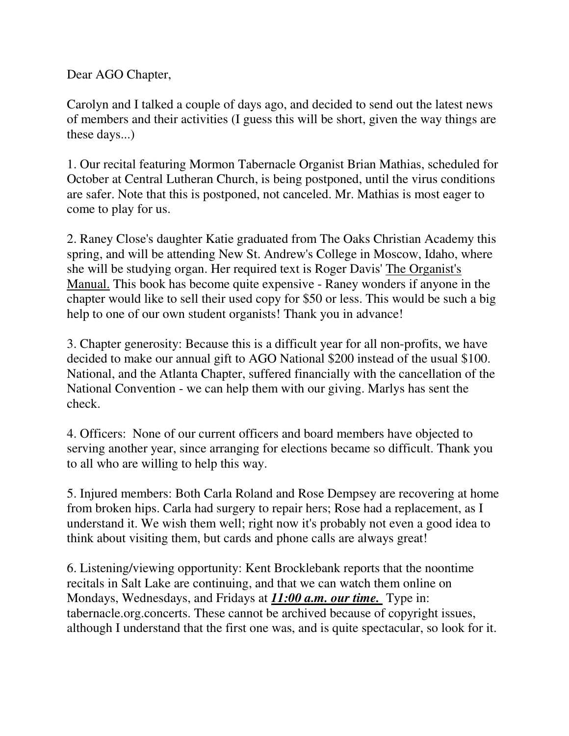Dear AGO Chapter,

Carolyn and I talked a couple of days ago, and decided to send out the latest news of members and their activities (I guess this will be short, given the way things are these days...)

1. Our recital featuring Mormon Tabernacle Organist Brian Mathias, scheduled for October at Central Lutheran Church, is being postponed, until the virus conditions are safer. Note that this is postponed, not canceled. Mr. Mathias is most eager to come to play for us.

2. Raney Close's daughter Katie graduated from The Oaks Christian Academy this spring, and will be attending New St. Andrew's College in Moscow, Idaho, where she will be studying organ. Her required text is Roger Davis' The Organist's Manual. This book has become quite expensive - Raney wonders if anyone in the chapter would like to sell their used copy for \$50 or less. This would be such a big help to one of our own student organists! Thank you in advance!

3. Chapter generosity: Because this is a difficult year for all non-profits, we have decided to make our annual gift to AGO National \$200 instead of the usual \$100. National, and the Atlanta Chapter, suffered financially with the cancellation of the National Convention - we can help them with our giving. Marlys has sent the check.

4. Officers: None of our current officers and board members have objected to serving another year, since arranging for elections became so difficult. Thank you to all who are willing to help this way.

5. Injured members: Both Carla Roland and Rose Dempsey are recovering at home from broken hips. Carla had surgery to repair hers; Rose had a replacement, as I understand it. We wish them well; right now it's probably not even a good idea to think about visiting them, but cards and phone calls are always great!

6. Listening/viewing opportunity: Kent Brocklebank reports that the noontime recitals in Salt Lake are continuing, and that we can watch them online on Mondays, Wednesdays, and Fridays at *11:00 a.m. our time.* Type in: tabernacle.org.concerts. These cannot be archived because of copyright issues, although I understand that the first one was, and is quite spectacular, so look for it.